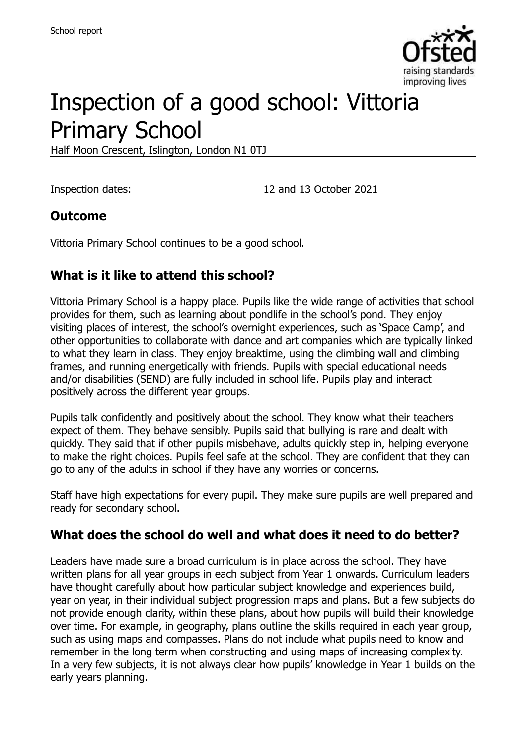

# Inspection of a good school: Vittoria Primary School

Half Moon Crescent, Islington, London N1 0TJ

Inspection dates: 12 and 13 October 2021

#### **Outcome**

Vittoria Primary School continues to be a good school.

### **What is it like to attend this school?**

Vittoria Primary School is a happy place. Pupils like the wide range of activities that school provides for them, such as learning about pondlife in the school's pond. They enjoy visiting places of interest, the school's overnight experiences, such as 'Space Camp', and other opportunities to collaborate with dance and art companies which are typically linked to what they learn in class. They enjoy breaktime, using the climbing wall and climbing frames, and running energetically with friends. Pupils with special educational needs and/or disabilities (SEND) are fully included in school life. Pupils play and interact positively across the different year groups.

Pupils talk confidently and positively about the school. They know what their teachers expect of them. They behave sensibly. Pupils said that bullying is rare and dealt with quickly. They said that if other pupils misbehave, adults quickly step in, helping everyone to make the right choices. Pupils feel safe at the school. They are confident that they can go to any of the adults in school if they have any worries or concerns.

Staff have high expectations for every pupil. They make sure pupils are well prepared and ready for secondary school.

#### **What does the school do well and what does it need to do better?**

Leaders have made sure a broad curriculum is in place across the school. They have written plans for all year groups in each subject from Year 1 onwards. Curriculum leaders have thought carefully about how particular subject knowledge and experiences build, year on year, in their individual subject progression maps and plans. But a few subjects do not provide enough clarity, within these plans, about how pupils will build their knowledge over time. For example, in geography, plans outline the skills required in each year group, such as using maps and compasses. Plans do not include what pupils need to know and remember in the long term when constructing and using maps of increasing complexity. In a very few subjects, it is not always clear how pupils' knowledge in Year 1 builds on the early years planning.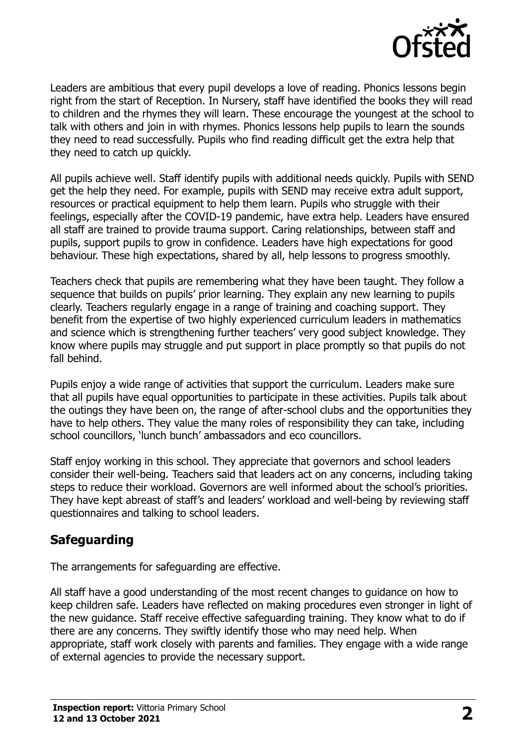

Leaders are ambitious that every pupil develops a love of reading. Phonics lessons begin right from the start of Reception. In Nursery, staff have identified the books they will read to children and the rhymes they will learn. These encourage the youngest at the school to talk with others and join in with rhymes. Phonics lessons help pupils to learn the sounds they need to read successfully. Pupils who find reading difficult get the extra help that they need to catch up quickly.

All pupils achieve well. Staff identify pupils with additional needs quickly. Pupils with SEND get the help they need. For example, pupils with SEND may receive extra adult support, resources or practical equipment to help them learn. Pupils who struggle with their feelings, especially after the COVID-19 pandemic, have extra help. Leaders have ensured all staff are trained to provide trauma support. Caring relationships, between staff and pupils, support pupils to grow in confidence. Leaders have high expectations for good behaviour. These high expectations, shared by all, help lessons to progress smoothly.

Teachers check that pupils are remembering what they have been taught. They follow a sequence that builds on pupils' prior learning. They explain any new learning to pupils clearly. Teachers regularly engage in a range of training and coaching support. They benefit from the expertise of two highly experienced curriculum leaders in mathematics and science which is strengthening further teachers' very good subject knowledge. They know where pupils may struggle and put support in place promptly so that pupils do not fall behind.

Pupils enjoy a wide range of activities that support the curriculum. Leaders make sure that all pupils have equal opportunities to participate in these activities. Pupils talk about the outings they have been on, the range of after-school clubs and the opportunities they have to help others. They value the many roles of responsibility they can take, including school councillors, 'lunch bunch' ambassadors and eco councillors.

Staff enjoy working in this school. They appreciate that governors and school leaders consider their well-being. Teachers said that leaders act on any concerns, including taking steps to reduce their workload. Governors are well informed about the school's priorities. They have kept abreast of staff's and leaders' workload and well-being by reviewing staff questionnaires and talking to school leaders.

#### **Safeguarding**

The arrangements for safeguarding are effective.

All staff have a good understanding of the most recent changes to guidance on how to keep children safe. Leaders have reflected on making procedures even stronger in light of the new guidance. Staff receive effective safeguarding training. They know what to do if there are any concerns. They swiftly identify those who may need help. When appropriate, staff work closely with parents and families. They engage with a wide range of external agencies to provide the necessary support.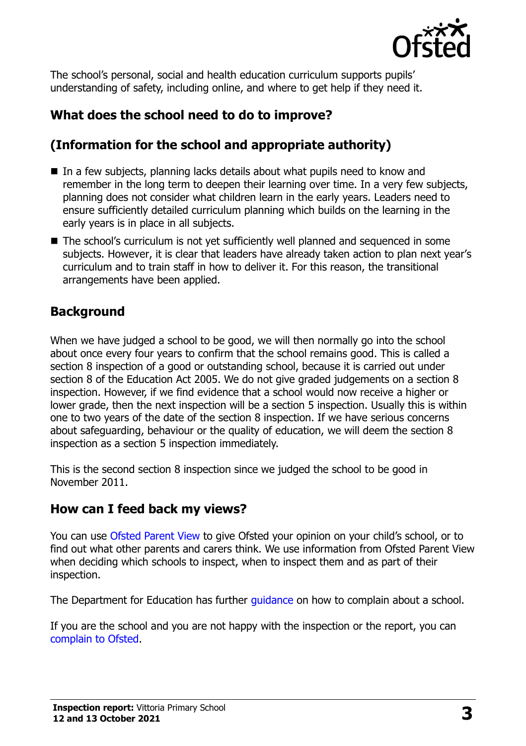

The school's personal, social and health education curriculum supports pupils' understanding of safety, including online, and where to get help if they need it.

# **What does the school need to do to improve?**

# **(Information for the school and appropriate authority)**

- $\blacksquare$  In a few subjects, planning lacks details about what pupils need to know and remember in the long term to deepen their learning over time. In a very few subjects, planning does not consider what children learn in the early years. Leaders need to ensure sufficiently detailed curriculum planning which builds on the learning in the early years is in place in all subjects.
- The school's curriculum is not yet sufficiently well planned and sequenced in some subjects. However, it is clear that leaders have already taken action to plan next year's curriculum and to train staff in how to deliver it. For this reason, the transitional arrangements have been applied.

### **Background**

When we have judged a school to be good, we will then normally go into the school about once every four years to confirm that the school remains good. This is called a section 8 inspection of a good or outstanding school, because it is carried out under section 8 of the Education Act 2005. We do not give graded judgements on a section 8 inspection. However, if we find evidence that a school would now receive a higher or lower grade, then the next inspection will be a section 5 inspection. Usually this is within one to two years of the date of the section 8 inspection. If we have serious concerns about safeguarding, behaviour or the quality of education, we will deem the section 8 inspection as a section 5 inspection immediately.

This is the second section 8 inspection since we judged the school to be good in November 2011.

### **How can I feed back my views?**

You can use [Ofsted Parent View](https://parentview.ofsted.gov.uk/) to give Ofsted your opinion on your child's school, or to find out what other parents and carers think. We use information from Ofsted Parent View when deciding which schools to inspect, when to inspect them and as part of their inspection.

The Department for Education has further quidance on how to complain about a school.

If you are the school and you are not happy with the inspection or the report, you can [complain to Ofsted.](https://www.gov.uk/complain-ofsted-report)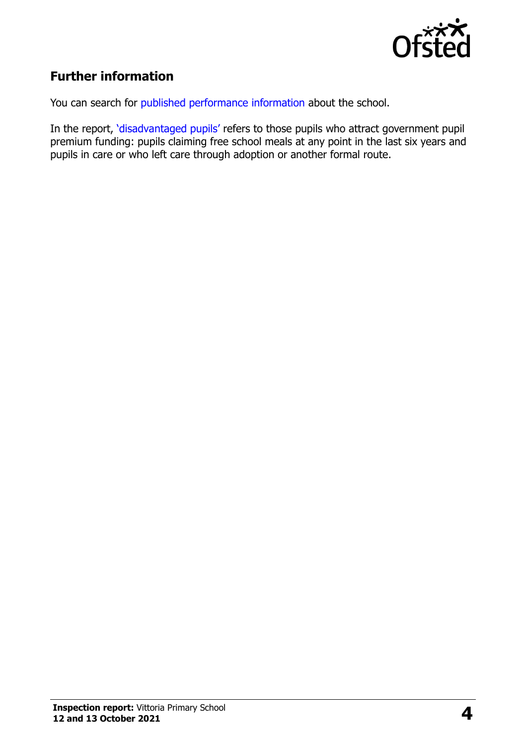

# **Further information**

You can search for [published performance information](http://www.compare-school-performance.service.gov.uk/) about the school.

In the report, '[disadvantaged pupils](http://www.gov.uk/guidance/pupil-premium-information-for-schools-and-alternative-provision-settings)' refers to those pupils who attract government pupil premium funding: pupils claiming free school meals at any point in the last six years and pupils in care or who left care through adoption or another formal route.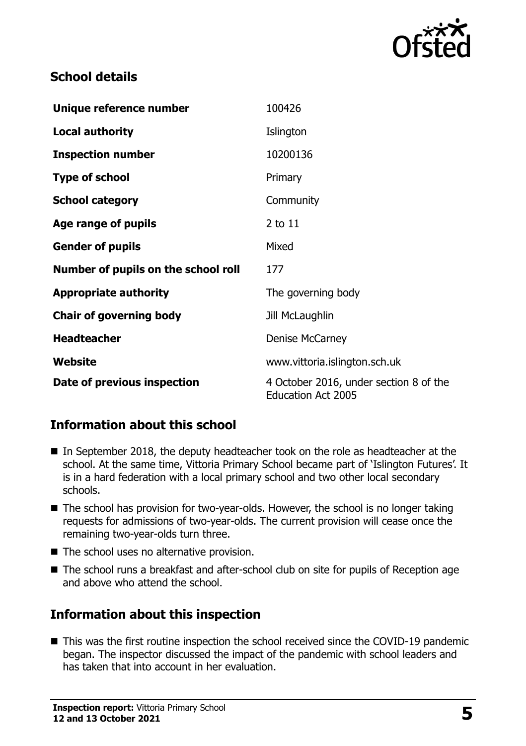

#### **School details**

| Unique reference number             | 100426                                                              |
|-------------------------------------|---------------------------------------------------------------------|
| <b>Local authority</b>              | Islington                                                           |
| <b>Inspection number</b>            | 10200136                                                            |
| <b>Type of school</b>               | Primary                                                             |
| <b>School category</b>              | Community                                                           |
| Age range of pupils                 | 2 to 11                                                             |
| <b>Gender of pupils</b>             | Mixed                                                               |
| Number of pupils on the school roll | 177                                                                 |
| <b>Appropriate authority</b>        | The governing body                                                  |
| <b>Chair of governing body</b>      | Jill McLaughlin                                                     |
| <b>Headteacher</b>                  | Denise McCarney                                                     |
| Website                             | www.vittoria.islington.sch.uk                                       |
| Date of previous inspection         | 4 October 2016, under section 8 of the<br><b>Education Act 2005</b> |

### **Information about this school**

- In September 2018, the deputy headteacher took on the role as headteacher at the school. At the same time, Vittoria Primary School became part of 'Islington Futures'. It is in a hard federation with a local primary school and two other local secondary schools.
- The school has provision for two-year-olds. However, the school is no longer taking requests for admissions of two-year-olds. The current provision will cease once the remaining two-year-olds turn three.
- The school uses no alternative provision.
- The school runs a breakfast and after-school club on site for pupils of Reception age and above who attend the school.

# **Information about this inspection**

■ This was the first routine inspection the school received since the COVID-19 pandemic began. The inspector discussed the impact of the pandemic with school leaders and has taken that into account in her evaluation.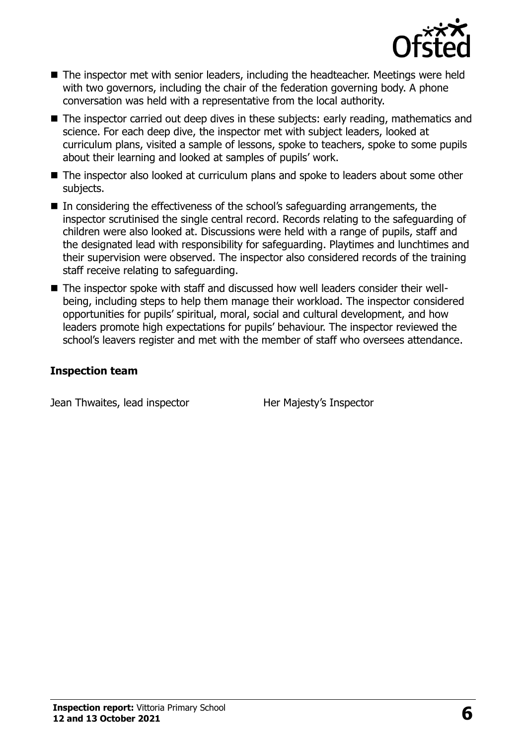

- The inspector met with senior leaders, including the headteacher. Meetings were held with two governors, including the chair of the federation governing body. A phone conversation was held with a representative from the local authority.
- The inspector carried out deep dives in these subjects: early reading, mathematics and science. For each deep dive, the inspector met with subject leaders, looked at curriculum plans, visited a sample of lessons, spoke to teachers, spoke to some pupils about their learning and looked at samples of pupils' work.
- The inspector also looked at curriculum plans and spoke to leaders about some other subjects.
- In considering the effectiveness of the school's safeguarding arrangements, the inspector scrutinised the single central record. Records relating to the safeguarding of children were also looked at. Discussions were held with a range of pupils, staff and the designated lead with responsibility for safeguarding. Playtimes and lunchtimes and their supervision were observed. The inspector also considered records of the training staff receive relating to safeguarding.
- The inspector spoke with staff and discussed how well leaders consider their wellbeing, including steps to help them manage their workload. The inspector considered opportunities for pupils' spiritual, moral, social and cultural development, and how leaders promote high expectations for pupils' behaviour. The inspector reviewed the school's leavers register and met with the member of staff who oversees attendance.

#### **Inspection team**

Jean Thwaites, lead inspector **Her Majesty's Inspector**